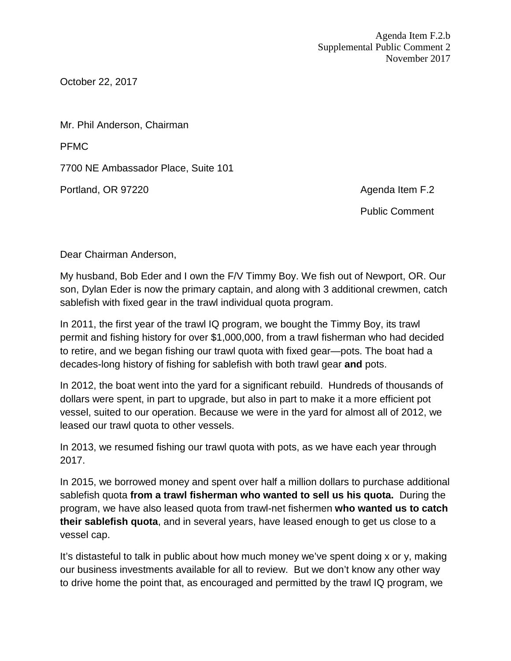October 22, 2017

Mr. Phil Anderson, Chairman

PFMC

7700 NE Ambassador Place, Suite 101

Portland, OR 97220 **Agenda Item F.2** Agenda Item F.2

Public Comment

Dear Chairman Anderson,

My husband, Bob Eder and I own the F/V Timmy Boy. We fish out of Newport, OR. Our son, Dylan Eder is now the primary captain, and along with 3 additional crewmen, catch sablefish with fixed gear in the trawl individual quota program.

In 2011, the first year of the trawl IQ program, we bought the Timmy Boy, its trawl permit and fishing history for over \$1,000,000, from a trawl fisherman who had decided to retire, and we began fishing our trawl quota with fixed gear—pots. The boat had a decades-long history of fishing for sablefish with both trawl gear **and** pots.

In 2012, the boat went into the yard for a significant rebuild. Hundreds of thousands of dollars were spent, in part to upgrade, but also in part to make it a more efficient pot vessel, suited to our operation. Because we were in the yard for almost all of 2012, we leased our trawl quota to other vessels.

In 2013, we resumed fishing our trawl quota with pots, as we have each year through 2017.

In 2015, we borrowed money and spent over half a million dollars to purchase additional sablefish quota **from a trawl fisherman who wanted to sell us his quota.** During the program, we have also leased quota from trawl-net fishermen **who wanted us to catch their sablefish quota**, and in several years, have leased enough to get us close to a vessel cap.

It's distasteful to talk in public about how much money we've spent doing x or y, making our business investments available for all to review. But we don't know any other way to drive home the point that, as encouraged and permitted by the trawl IQ program, we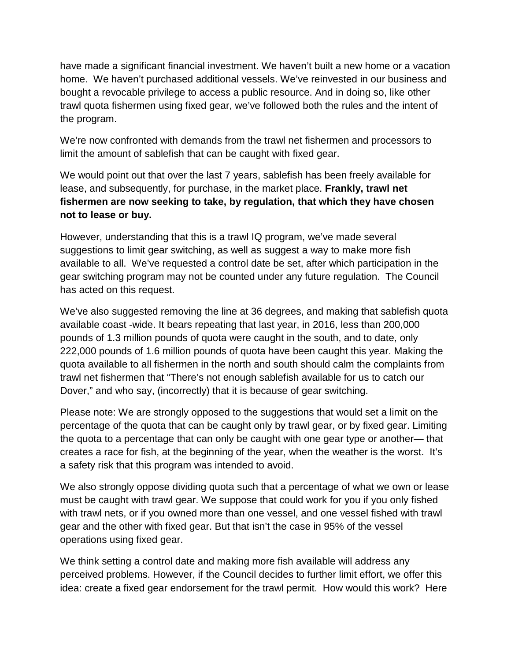have made a significant financial investment. We haven't built a new home or a vacation home. We haven't purchased additional vessels. We've reinvested in our business and bought a revocable privilege to access a public resource. And in doing so, like other trawl quota fishermen using fixed gear, we've followed both the rules and the intent of the program.

We're now confronted with demands from the trawl net fishermen and processors to limit the amount of sablefish that can be caught with fixed gear.

We would point out that over the last 7 years, sablefish has been freely available for lease, and subsequently, for purchase, in the market place. **Frankly, trawl net fishermen are now seeking to take, by regulation, that which they have chosen not to lease or buy.**

However, understanding that this is a trawl IQ program, we've made several suggestions to limit gear switching, as well as suggest a way to make more fish available to all. We've requested a control date be set, after which participation in the gear switching program may not be counted under any future regulation. The Council has acted on this request.

We've also suggested removing the line at 36 degrees, and making that sablefish quota available coast -wide. It bears repeating that last year, in 2016, less than 200,000 pounds of 1.3 million pounds of quota were caught in the south, and to date, only 222,000 pounds of 1.6 million pounds of quota have been caught this year. Making the quota available to all fishermen in the north and south should calm the complaints from trawl net fishermen that "There's not enough sablefish available for us to catch our Dover," and who say, (incorrectly) that it is because of gear switching.

Please note: We are strongly opposed to the suggestions that would set a limit on the percentage of the quota that can be caught only by trawl gear, or by fixed gear. Limiting the quota to a percentage that can only be caught with one gear type or another— that creates a race for fish, at the beginning of the year, when the weather is the worst. It's a safety risk that this program was intended to avoid.

We also strongly oppose dividing quota such that a percentage of what we own or lease must be caught with trawl gear. We suppose that could work for you if you only fished with trawl nets, or if you owned more than one vessel, and one vessel fished with trawl gear and the other with fixed gear. But that isn't the case in 95% of the vessel operations using fixed gear.

We think setting a control date and making more fish available will address any perceived problems. However, if the Council decides to further limit effort, we offer this idea: create a fixed gear endorsement for the trawl permit. How would this work? Here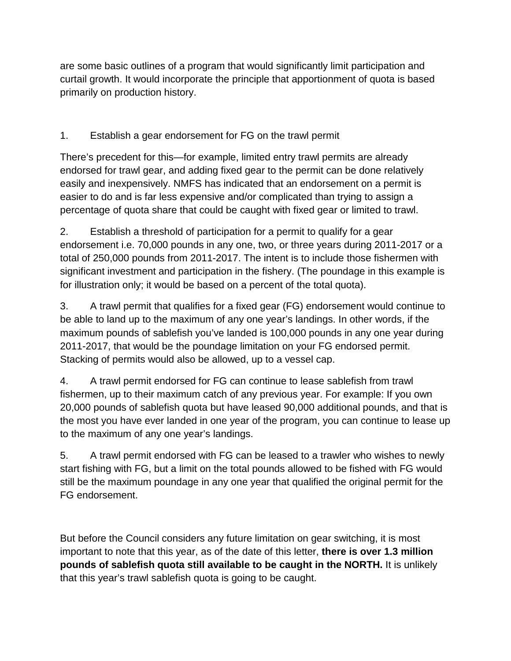are some basic outlines of a program that would significantly limit participation and curtail growth. It would incorporate the principle that apportionment of quota is based primarily on production history.

## 1. Establish a gear endorsement for FG on the trawl permit

There's precedent for this—for example, limited entry trawl permits are already endorsed for trawl gear, and adding fixed gear to the permit can be done relatively easily and inexpensively. NMFS has indicated that an endorsement on a permit is easier to do and is far less expensive and/or complicated than trying to assign a percentage of quota share that could be caught with fixed gear or limited to trawl.

2. Establish a threshold of participation for a permit to qualify for a gear endorsement i.e. 70,000 pounds in any one, two, or three years during 2011-2017 or a total of 250,000 pounds from 2011-2017. The intent is to include those fishermen with significant investment and participation in the fishery. (The poundage in this example is for illustration only; it would be based on a percent of the total quota).

3. A trawl permit that qualifies for a fixed gear (FG) endorsement would continue to be able to land up to the maximum of any one year's landings. In other words, if the maximum pounds of sablefish you've landed is 100,000 pounds in any one year during 2011-2017, that would be the poundage limitation on your FG endorsed permit. Stacking of permits would also be allowed, up to a vessel cap.

4. A trawl permit endorsed for FG can continue to lease sablefish from trawl fishermen, up to their maximum catch of any previous year. For example: If you own 20,000 pounds of sablefish quota but have leased 90,000 additional pounds, and that is the most you have ever landed in one year of the program, you can continue to lease up to the maximum of any one year's landings.

5. A trawl permit endorsed with FG can be leased to a trawler who wishes to newly start fishing with FG, but a limit on the total pounds allowed to be fished with FG would still be the maximum poundage in any one year that qualified the original permit for the FG endorsement.

But before the Council considers any future limitation on gear switching, it is most important to note that this year, as of the date of this letter, **there is over 1.3 million pounds of sablefish quota still available to be caught in the NORTH.** It is unlikely that this year's trawl sablefish quota is going to be caught.